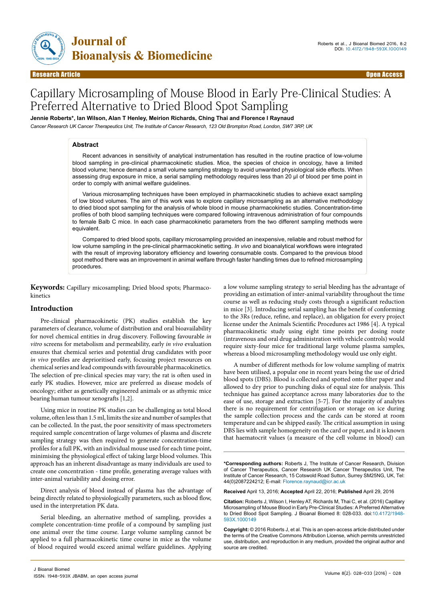

# Capillary Microsampling of Mouse Blood in Early Pre-Clinical Studies: A Preferred Alternative to Dried Blood Spot Sampling

**Jennie Roberts\*, Ian Wilson, Alan T Henley, Meirion Richards, Ching Thai and Florence I Raynaud**

*Cancer Research UK Cancer Therapeutics Unit, The Institute of Cancer Research, 123 Old Brompton Road, London, SW7 3RP, UK*

## **Abstract**

Recent advances in sensitivity of analytical instrumentation has resulted in the routine practice of low-volume blood sampling in pre-clinical pharmacokinetic studies. Mice, the species of choice in oncology, have a limited blood volume; hence demand a small volume sampling strategy to avoid unwanted physiological side effects. When assessing drug exposure in mice, a serial sampling methodology requires less than 20 μl of blood per time point in order to comply with animal welfare guidelines.

Various microsampling techniques have been employed in pharmacokinetic studies to achieve exact sampling of low blood volumes. The aim of this work was to explore capillary microsampling as an alternative methodology to dried blood spot sampling for the analysis of whole blood in mouse pharmacokinetic studies. Concentration-time profiles of both blood sampling techniques were compared following intravenous administration of four compounds to female Balb C mice. In each case pharmacokinetic parameters from the two different sampling methods were equivalent.

Compared to dried blood spots, capillary microsampling provided an inexpensive, reliable and robust method for low volume sampling in the pre-clinical pharmacokinetic setting. *In vivo* and bioanalytical workflows were integrated with the result of improving laboratory efficiency and lowering consumable costs. Compared to the previous blood spot method there was an improvement in animal welfare through faster handling times due to refined microsampling procedures.

**Keywords:** Capillary micosampling; Dried blood spots; Pharmacokinetics

## **Introduction**

Pre-clinical pharmacokinetic (PK) studies establish the key parameters of clearance, volume of distribution and oral bioavailability for novel chemical entities in drug discovery. Following favourable *in vitro* screens for metabolism and permeability, early *in vivo* evaluation ensures that chemical series and potential drug candidates with poor *in vivo* profiles are deprioritised early, focusing project resources on chemical series and lead compounds with favourable pharmacokinetics. The selection of pre-clinical species may vary; the rat is often used in early PK studies. However, mice are preferred as disease models of oncology; either as genetically engineered animals or as athymic mice bearing human tumour xenografts [1,2].

Using mice in routine PK studies can be challenging as total blood volume, often less than 1.5 ml, limits the size and number of samples that can be collected. In the past, the poor sensitivity of mass spectrometers required sample concentration of large volumes of plasma and discrete sampling strategy was then required to generate concentration-time profiles for a full PK, with an individual mouse used for each time point, minimising the physiological effect of taking large blood volumes. This approach has an inherent disadvantage as many individuals are used to create one concentration - time profile, generating average values with inter-animal variability and dosing error.

Direct analysis of blood instead of plasma has the advantage of being directly related to physiologically parameters, such as blood flow, used in the interpretation PK data.

Serial bleeding, an alternative method of sampling, provides a complete concentration-time profile of a compound by sampling just one animal over the time course. Large volume sampling cannot be applied to a full pharmacokinetic time course in mice as the volume of blood required would exceed animal welfare guidelines. Applying

a low volume sampling strategy to serial bleeding has the advantage of providing an estimation of inter-animal variability throughout the time course as well as reducing study costs through a significant reduction in mice [3]. Introducing serial sampling has the benefit of conforming to the 3Rs (reduce, refine, and replace), an obligation for every project license under the Animals Scientific Procedures act 1986 [4]. A typical pharmacokinetic study using eight time points per dosing route (intravenous and oral drug administration with vehicle controls) would require sixty-four mice for traditional large volume plasma samples, whereas a blood microsampling methodology would use only eight.

A number of different methods for low volume sampling of matrix have been utilised, a popular one in recent years being the use of dried blood spots (DBS). Blood is collected and spotted onto filter paper and allowed to dry prior to punching disks of equal size for analysis. This technique has gained acceptance across many laboratories due to the ease of use, storage and extraction [5-7]. For the majority of analytes there is no requirement for centrifugation or storage on ice during the sample collection process and the cards can be stored at room temperature and can be shipped easily. The critical assumption in using DBS lies with sample homogeneity on the card or paper, and it is known that haematocrit values (a measure of the cell volume in blood) can

**\*Corresponding authors:** Roberts J, The Institute of Cancer Research, Division of Cancer Therapeutics, Cancer Research UK Cancer Therapeutics Unit, The Institute of Cancer Research, 15 Cotswold Road Sutton, Surrey SM25NG, UK, Tel: 44(0)2087224212; E-mail: Florence.raynaud@icr.ac.uk

**Received** April 13, 2016; **Accepted** April 22, 2016; **Published** April 29, 2016

**Citation:** Roberts J, Wilson I, Henley AT, Richards M, Thai C, et al. (2016) Capillary Microsampling of Mouse Blood in Early Pre-Clinical Studies: A Preferred Alternative to Dried Blood Spot Sampling. J Bioanal Biomed 8: 028-033. doi:10.4172/1948- 593X.1000149

**Copyright:** © 2016 Roberts J, et al. This is an open-access article distributed under the terms of the Creative Commons Attribution License, which permits unrestricted use, distribution, and reproduction in any medium, provided the original author and source are credited.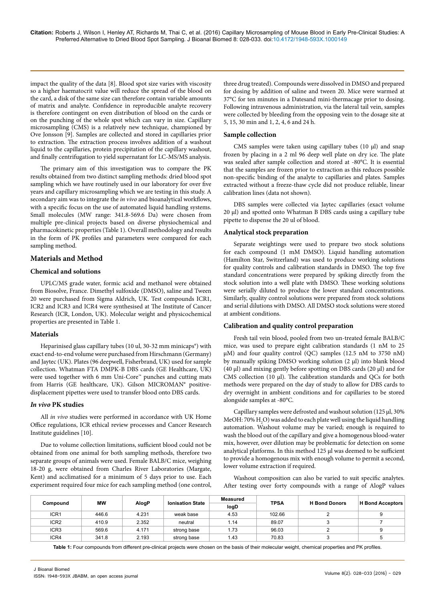impact the quality of the data [8]. Blood spot size varies with viscosity so a higher haematocrit value will reduce the spread of the blood on the card, a disk of the same size can therefore contain variable amounts of matrix and analyte. Confidence in reproducible analyte recovery is therefore contingent on even distribution of blood on the cards or on the punching of the whole spot which can vary in size. Capillary microsampling (CMS) is a relatively new technique, championed by Ove Jonsson [9]. Samples are collected and stored in capillaries prior to extraction. The extraction process involves addition of a washout liquid to the capillaries, protein precipitation of the capillary washout, and finally centrifugation to yield supernatant for LC-MS/MS analysis.

The primary aim of this investigation was to compare the PK results obtained from two distinct sampling methods: dried blood spot sampling which we have routinely used in our laboratory for over five years and capillary microsampling which we are testing in this study. A secondary aim was to integrate the *in vivo* and bioanalytical workflows, with a specific focus on the use of automated liquid handling systems. Small molecules (MW range: 341.8-569.6 Da) were chosen from multiple pre-clinical projects based on diverse physiochemical and pharmacokinetic properties (Table 1). Overall methodology and results in the form of PK profiles and parameters were compared for each sampling method.

# **Materials and Method**

# **Chemical and solutions**

UPLC/MS grade water, formic acid and methanol were obtained from Biosolve, France. Dimethyl sulfoxide (DMSO), saline and Tween 20 were purchased from Sigma Aldrich, UK. Test compounds ICR1, ICR2 and ICR3 and ICR4 were synthesised at The Institute of Cancer Research (ICR, London, UK). Molecular weight and physicochemical properties are presented in Table 1.

## **Materials**

Heparinised glass capillary tubes (10 ul, 30-32 mm minicaps®) with exact end-to-end volume were purchased from Hirschmann (Germany) and Jaytec (UK). Plates (96 deepwell, Fisherbrand, UK) used for sample collection. Whatman FTA DMPK-B DBS cards (GE Healthcare, UK) were used together with 6 mm Uni-Core™ punches and cutting mats from Harris (GE healthcare, UK). Gilson MICROMAN® positivedisplacement pipettes were used to transfer blood onto DBS cards.

### *In vivo* **PK studies**

All *in vivo* studies were performed in accordance with UK Home Office regulations, ICR ethical review processes and Cancer Research Institute guidelines [10].

Due to volume collection limitations, sufficient blood could not be obtained from one animal for both sampling methods, therefore two separate groups of animals were used. Female BALB/C mice, weighing 18-20 g, were obtained from Charles River Laboratories (Margate, Kent) and acclimatised for a minimum of 5 days prior to use. Each experiment required four mice for each sampling method (one control,

three drug treated). Compounds were dissolved in DMSO and prepared for dosing by addition of saline and tween 20. Mice were warmed at 37°C for ten minutes in a Datesand mini-thermacage prior to dosing. Following intravenous administration, via the lateral tail vein, samples were collected by bleeding from the opposing vein to the dosage site at 5, 15, 30 min and 1, 2, 4, 6 and 24 h.

## **Sample collection**

CMS samples were taken using capillary tubes (10 µl) and snap frozen by placing in a 2 ml 96 deep well plate on dry ice. The plate was sealed after sample collection and stored at -80°C. It is essential that the samples are frozen prior to extraction as this reduces possible non-specific binding of the analyte to capillaries and plates. Samples extracted without a freeze-thaw cycle did not produce reliable, linear calibration lines (data not shown).

DBS samples were collected via Jaytec capillaries (exact volume 20 µl) and spotted onto Whatman B DBS cards using a capillary tube pipette to dispense the 20 ul of blood.

# **Analytical stock preparation**

Separate weightings were used to prepare two stock solutions for each compound (1 mM DMSO). Liquid handling automation (Hamilton Star, Switzerland) was used to produce working solutions for quality controls and calibration standards in DMSO. The top five standard concentrations were prepared by spiking directly from the stock solution into a well plate with DMSO. These working solutions were serially diluted to produce the lower standard concentrations. Similarly, quality control solutions were prepared from stock solutions and serial dilutions with DMSO. All DMSO stock solutions were stored at ambient conditions.

## **Calibration and quality control preparation**

Fresh tail vein blood, pooled from two un-treated female BALB/C mice, was used to prepare eight calibration standards (1 nM to 25 μM) and four quality control (QC) samples (12.5 nM to 3750 nM) by manually spiking DMSO working solution (2 μl) into blank blood (40 μl) and mixing gently before spotting on DBS cards (20 μl) and for CMS collection (10 μl). The calibration standards and QCs for both methods were prepared on the day of study to allow for DBS cards to dry overnight in ambient conditions and for capillaries to be stored alongside samples at -80°C.

Capillary samples were defrosted and washout solution (125 μl, 30% MeOH: 70%  $\rm H_{2}O$ ) was added to each plate well using the liquid handling automation. Washout volume may be varied; enough is required to wash the blood out of the capillary and give a homogenous blood-water mix, however, over dilution may be problematic for detection on some analytical platforms. In this method 125 μl was deemed to be sufficient to provide a homogenous mix with enough volume to permit a second, lower volume extraction if required.

Washout composition can also be varied to suit specific analytes. After testing over forty compounds with a range of AlogP values

| Compound         | МW    | AlogP | <b>Ionisation State</b> | <b>Measured</b> |             | <b>H</b> Bond Donors | <b>H</b> Bond Acceptors |
|------------------|-------|-------|-------------------------|-----------------|-------------|----------------------|-------------------------|
|                  |       |       |                         | logD            | <b>TPSA</b> |                      |                         |
| ICR <sub>1</sub> | 446.6 | 4.231 | weak base               | 4.53            | 102.66      |                      | 9                       |
| ICR <sub>2</sub> | 410.9 | 2.352 | neutral                 | 1.14            | 89.07       |                      |                         |
| ICR <sub>3</sub> | 569.6 | 4.171 | strong base             | 1.73            | 96.03       |                      | 9                       |
| ICR4             | 341.8 | 2.193 | strong base             | 1.43            | 70.83       |                      | 5                       |

**Table 1:** Four compounds from different pre-clinical projects were chosen on the basis of their molecular weight, chemical properties and PK profiles.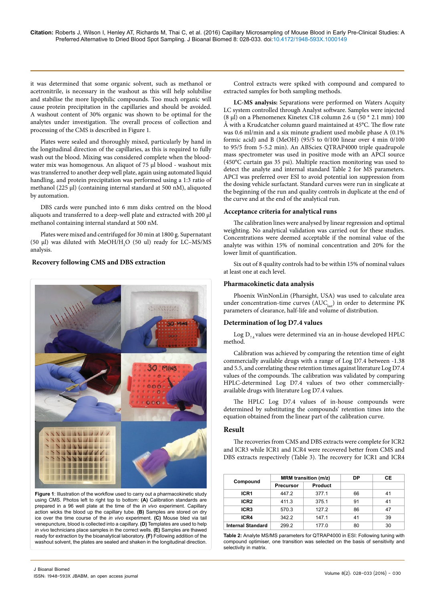it was determined that some organic solvent, such as methanol or acetronitrile, is necessary in the washout as this will help solubilise and stabilise the more lipophilic compounds. Too much organic will cause protein precipitation in the capillaries and should be avoided. A washout content of 30% organic was shown to be optimal for the analytes under investigation. The overall process of collection and processing of the CMS is described in Figure 1.

Plates were sealed and thoroughly mixed, particularly by hand in the longitudinal direction of the capillaries, as this is required to fully wash out the blood. Mixing was considered complete when the bloodwater mix was homogenous. An aliquot of 75 μl blood - washout mix was transferred to another deep well plate, again using automated liquid handling, and protein precipitation was performed using a 1:3 ratio of methanol (225 μl) (containing internal standard at 500 nM), aliquoted by automation.

DBS cards were punched into 6 mm disks centred on the blood aliquots and transferred to a deep-well plate and extracted with 200 μl methanol containing internal standard at 500 nM.

Plates were mixed and centrifuged for 30 min at 1800 g. Supernatant (50  $\mu$ l) was diluted with MeOH/H<sub>2</sub>O (50 ul) ready for LC-MS/MS analysis.

# **Recovery following CMS and DBS extraction**



**Figure 1**: Illustration of the workflow used to carry out a pharmacokinetic study using CMS. Photos left to right top to bottom: **(A)** Calibration standards are prepared in a 96 well plate at the time of the *in vivo* experiment. Capillary action wicks the blood up the capillary tube. **(B)** Samples are stored on dry ice over the time course of the *in vivo* experiment. **(C)** Mouse bled via tail venepuncture, blood is collected into a capillary. **(D)** Templates are used to help *in vivo* technicians place samples in the correct wells. **(E)** Samples are thawed ready for extraction by the bioanalytical laboratory. **(F)** Following addition of the washout solvent, the plates are sealed and shaken in the longitudinal direction.

Control extracts were spiked with compound and compared to extracted samples for both sampling methods.

**LC-MS analysis:** Separations were performed on Waters Acquity LC system controlled through Analyst software. Samples were injected (8 μl) on a Phenomenex Kinetex C18 column 2.6 u (50 \* 2.1 mm) 100 Å with a Krudcatcher column guard maintained at 45°C. The flow rate was 0.6 ml/min and a six minute gradient used mobile phase A (0.1% formic acid) and B (MeOH) (95/5 to 0/100 linear over 4 min 0/100 to 95/5 from 5-5.2 min). An ABSciex QTRAP4000 triple quadrupole mass spectrometer was used in positive mode with an APCI source (450°C curtain gas 35 psi). Multiple reaction monitoring was used to detect the analyte and internal standard Table 2 for MS parameters. APCI was preferred over ESI to avoid potential ion suppression from the dosing vehicle surfactant. Standard curves were run in singlicate at the beginning of the run and quality controls in duplicate at the end of the curve and at the end of the analytical run.

#### **Acceptance criteria for analytical runs**

The calibration lines were analysed by linear regression and optimal weighting. No analytical validation was carried out for these studies. Concentrations were deemed acceptable if the nominal value of the analyte was within 15% of nominal concentration and 20% for the lower limit of quantification.

Six out of 8 quality controls had to be within 15% of nominal values at least one at each level.

## **Pharmacokinetic data analysis**

Phoenix WinNonLin (Pharsight, USA) was used to calculate area under concentration-time curves  $(AUC<sub>last</sub>)$  in order to determine PK parameters of clearance, half-life and volume of distribution.

### **Determination of log D7.4 values**

Log  $D_{7.4}$  values were determined via an in-house developed HPLC method.

Calibration was achieved by comparing the retention time of eight commercially available drugs with a range of Log D7.4 between -1.38 and 5.5, and correlating these retention times against literature Log D7.4 values of the compounds. The calibration was validated by comparing HPLC-determined Log D7.4 values of two other commerciallyavailable drugs with literature Log D7.4 values.

The HPLC Log D7.4 values of in-house compounds were determined by substituting the compounds' retention times into the equation obtained from the linear part of the calibration curve.

#### **Result**

The recoveries from CMS and DBS extracts were complete for ICR2 and ICR3 while ICR1 and ICR4 were recovered better from CMS and DBS extracts respectively (Table 3). The recovery for ICR1 and ICR4

|                          |                  | <b>MRM</b> transition (m/z) | DP | СE |
|--------------------------|------------------|-----------------------------|----|----|
| Compound                 | <b>Precursor</b> | Product                     |    |    |
| ICR <sub>1</sub>         | 447.2            | 377.1                       | 66 | 41 |
| ICR <sub>2</sub>         | 411.3            | 375.1                       | 91 | 41 |
| ICR <sub>3</sub>         | 570.3            | 127.2                       | 86 | 47 |
| ICR4                     | 342.2            | 147.1                       | 41 | 39 |
| <b>Internal Standard</b> | 299.2            | 177.0                       | 80 | 30 |

**Table 2:** Analyte MS/MS parameters for QTRAP4000 in ESI: Following tuning with compound optimiser, one transition was selected on the basis of sensitivity and selectivity in matrix.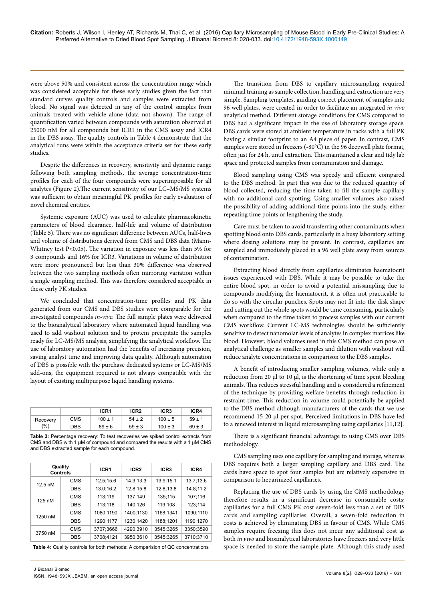were above 50% and consistent across the concentration range which was considered acceptable for these early studies given the fact that standard curves quality controls and samples were extracted from blood. No signal was detected in any of the control samples from animals treated with vehicle alone (data not shown). The range of quantification varied between compounds with saturation observed at 25000 nM for all compounds but ICR1 in the CMS assay and ICR4 in the DBS assay. The quality controls in Table 4 demonstrate that the analytical runs were within the acceptance criteria set for these early studies.

Despite the differences in recovery, sensitivity and dynamic range following both sampling methods, the average concentration-time profiles for each of the four compounds were superimposable for all analytes (Figure 2).The current sensitivity of our LC–MS/MS systems was sufficient to obtain meaningful PK profiles for early evaluation of novel chemical entities.

Systemic exposure (AUC) was used to calculate pharmacokinetic parameters of blood clearance, half-life and volume of distribution (Table 5). There was no significant difference between AUCs, half-lives and volume of distributions derived from CMS and DBS data (Mann-Whitney test P<0.05). The variation in exposure was less than 5% for 3 compounds and 16% for ICR3. Variations in volume of distribution were more pronounced but less than 30% difference was observed between the two sampling methods often mirroring variation within a single sampling method. This was therefore considered acceptable in these early PK studies.

We concluded that concentration-time profiles and PK data generated from our CMS and DBS studies were comparable for the investigated compounds *in-vivo.* The full sample plates were delivered to the bioanalytical laboratory where automated liquid handling was used to add washout solution and to protein precipitate the samples ready for LC-MS/MS analysis, simplifying the analytical workflow. The use of laboratory automation had the benefits of increasing precision, saving analyst time and improving data quality. Although automation of DBS is possible with the purchase dedicated systems or LC-MS/MS add-ons, the equipment required is not always compatible with the layout of existing multipurpose liquid handling systems.

|                 |            | ICR <sub>1</sub> | ICR <sub>2</sub> | ICR <sub>3</sub> | ICR4       |
|-----------------|------------|------------------|------------------|------------------|------------|
| Recovery<br>(%) | <b>CMS</b> | $100 \pm 1$      | $54 \pm 2$       | $100 \pm 5$      | $59 \pm 1$ |
|                 | <b>DBS</b> | $89 \pm 6$       | $59 \pm 3$       | $100 \pm 3$      | $69 \pm 3$ |

**Table 3:** Percentage recovery: To test recoveries we spiked control extracts from CMS and DBS with 1 μM of compound and compared the results with a 1 μM CMS and DBS extracted sample for each compound.

| Quality<br><b>Controls</b> |            | ICR <sub>1</sub> | ICR <sub>2</sub> | ICR <sub>3</sub> | ICR4      |  |
|----------------------------|------------|------------------|------------------|------------------|-----------|--|
| $12.5 \text{ nM}$          | CMS        | 12.5;15.6        | 14.3:13.3        | 13.9:15.1        | 13.7;13.6 |  |
|                            | <b>DBS</b> | 13.0;16.2        | 12.8:15.8        | 12.8;13.8        | 14.8;11.2 |  |
|                            | <b>CMS</b> | 113;119          | 137;149          | 135;115          | 107;116   |  |
| 125 nM                     | <b>DBS</b> | 113:118          | 140:126          | 119:108          | 123:114   |  |
| 1250 nM                    | <b>CMS</b> | 1080:1190        | 1400:1130        | 1168:1341        | 1090;1110 |  |
|                            | <b>DBS</b> | 1290;1177        | 1230:1420        | 1188:1201        | 1190;1270 |  |
| 3750 nM                    | <b>CMS</b> | 3707:3666        | 4290:3910        | 3545:3265        | 3350;3590 |  |
|                            | <b>DBS</b> | 3708:4121        | 3950:3610        | 3545:3265        | 3710:3710 |  |

**Table 4:** Quality controls for both methods: A comparision of QC concentrations

The transition from DBS to capillary microsampling required minimal training as sample collection, handling and extraction are very simple. Sampling templates, guiding correct placement of samples into 96 well plates, were created in order to facilitate an integrated *in vivo* analytical method. Different storage conditions for CMS compared to DBS had a significant impact in the use of laboratory storage space. DBS cards were stored at ambient temperature in racks with a full PK having a similar footprint to an A4 piece of paper. In contrast, CMS samples were stored in freezers (-80°C) in the 96 deepwell plate format, often just for 24 h, until extraction. This maintained a clear and tidy lab space and protected samples from contamination and damage.

Blood sampling using CMS was speedy and efficient compared to the DBS method. In part this was due to the reduced quantity of blood collected, reducing the time taken to fill the sample capillary with no additional card spotting. Using smaller volumes also raised the possibility of adding additional time points into the study, either repeating time points or lengthening the study.

Care must be taken to avoid transferring other contaminants when spotting blood onto DBS cards, particularly in a busy laboratory setting where dosing solutions may be present. In contrast, capillaries are sampled and immediately placed in a 96 well plate away from sources of contamination.

Extracting blood directly from capillaries eliminates haematocrit issues experienced with DBS. While it may be possible to take the entire blood spot, in order to avoid a potential missampling due to compounds modifying the haematocrit, it is often not practicable to do so with the circular punches. Spots may not fit into the disk shape and cutting out the whole spots would be time consuming, particularly when compared to the time taken to process samples with our current CMS workflow. Current LC-MS technologies should be sufficiently sensitive to detect nanomolar levels of analytes in complex matrices like blood. However, blood volumes used in this CMS method can pose an analytical challenge as smaller samples and dilution with washout will reduce analyte concentrations in comparison to the DBS samples.

A benefit of introducing smaller sampling volumes, while only a reduction from 20  $\mu$ l to 10  $\mu$ l, is the shortening of time spent bleeding animals. This reduces stressful handling and is considered a refinement of the technique by providing welfare benefits through reduction in restraint time. This reduction in volume could potentially be applied to the DBS method although manufacturers of the cards that we use recommend 15-20 μl per spot. Perceived limitations in DBS have led to a renewed interest in liquid microsampling using capillaries [11,12].

There is a significant financial advantage to using CMS over DBS methodology.

CMS sampling uses one capillary for sampling and storage, whereas DBS requires both a larger sampling capillary and DBS card. The cards have space to spot four samples but are relatively expensive in comparison to heparinized capillaries.

Replacing the use of DBS cards by using the CMS methodology therefore results in a significant decrease in consumable costs; capillaries for a full CMS PK cost seven-fold less than a set of DBS cards and sampling capillaries. Overall, a seven-fold reduction in costs is achieved by eliminating DBS in favour of CMS. While CMS samples require freezing this does not incur any additional cost as both *in vivo* and bioanalytical laboratories have freezers and very little space is needed to store the sample plate. Although this study used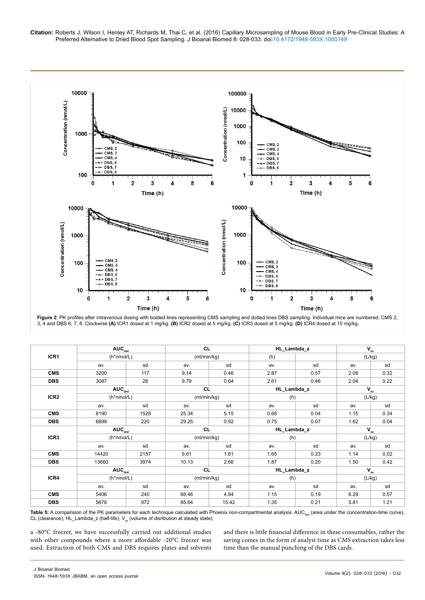

**Figure 2**: PK profiles after intravenous dosing with bolded lines representing CMS sampling and dotted lines DBS sampling. Individual mice are numbered; CMS 2, 3, 4 and DBS 6, 7, 8. Clockwise **(A)** ICR1 dosed at 1 mg/kg. **(B)** ICR2 dosed at 5 mg/kg. **(C)** ICR3 dosed at 5 mg/kg. **(D)** ICR4 dosed at 10 mg/kg.

| ICR1             | $\mathsf{AUC}_{\mathsf{last}}$<br>(h*nmol/L) |      | <b>CL</b><br>(ml/min/kg) |       | HL_Lambda_z |      | $\mathbf{V}_{\rm ss}$ |        |
|------------------|----------------------------------------------|------|--------------------------|-------|-------------|------|-----------------------|--------|
|                  |                                              |      |                          |       | (h)         |      |                       | (L/kg) |
|                  | av.                                          | sd   | av.                      | sd    | av.         | sd   | av.                   | sd     |
| <b>CMS</b>       | 3200                                         | 117  | 9.14                     | 0.46  | 2.87        | 0.57 | 2.08                  | 0.32   |
| <b>DBS</b>       | 3087                                         | 28   | 9.79                     | 0.64  | 2.61        | 0.46 | 2.04                  | 0.22   |
|                  | AUC <sub>last</sub>                          |      | CL                       |       | HL_Lambda_z |      | $V_{ss}$              |        |
| ICR <sub>2</sub> | (h*nmol/L)                                   |      | (ml/min/kg)              |       | (h)         |      | (L/kg)                |        |
|                  | av.                                          | sd   | av.                      | sd    | av.         | sd   | av.                   | sd     |
| <b>CMS</b>       | 8190                                         | 1528 | 25.34                    | 5.15  | 0.68        | 0.04 | 1.15                  | 0.34   |
| <b>DBS</b>       | 6899                                         | 220  | 29.25                    | 0.92  | 0.75        | 0.07 | 1.62                  | 0.04   |
|                  | AUC <sub>last</sub>                          |      | <b>CL</b>                |       | HL_Lambda_z |      | $V_{ss}$              |        |
| ICR3             | (h*nmol/L)                                   |      | (ml/min/kg)              |       | (h)         |      | (L/kg)                |        |
|                  | av.                                          | sd   | av.                      | sd    | av.         | sd   | av.                   | sd     |
| <b>CMS</b>       | 14420                                        | 2157 | 9.61                     | 1.81  | 1.65        | 0.23 | 1.14                  | 0.02   |
| <b>DBS</b>       | 13660                                        | 3974 | 10.13                    | 2.66  | 1.87        | 0.20 | 1.50                  | 0.42   |
|                  | $\overline{AUC}_{last}$                      |      | <b>CL</b>                |       | HL_Lambda_z |      | $V_{ss}$              |        |
| ICR4             | (h*nmol/L)                                   |      | (ml/min/kg)              |       | (h)         |      | (L/kg)                |        |
|                  | av.                                          | sd   | av.                      | sd    | av.         | sd   | av.                   | sd     |
| <b>CMS</b>       | 5406                                         | 240  | 88.46                    | 4.94  | 1.15        | 0.19 | 6.29                  | 0.57   |
| <b>DBS</b>       | 5678                                         | 972  | 85.64                    | 15.42 | 1.35        | 0.21 | 5.81                  | 1.21   |

Table 5: A comparision of the PK parameters for each technique calculated with Phoenix non-compartmental analysis. AUC<sub>las</sub> (area under the concentration-time curve), CL (clearance),  $HL\_L$ ambda\_z (half-life),  $V_{ss}$  (volume of disribution at steady state).

a -80°C freezer, we have successfully carried out additional studies with other compounds where a more affordable -20°C freezer was used. Extraction of both CMS and DBS requires plates and solvents and there is little financial difference in these consumables, rather the saving comes in the form of analyst time as CMS extraction takes less time than the manual punching of the DBS cards.